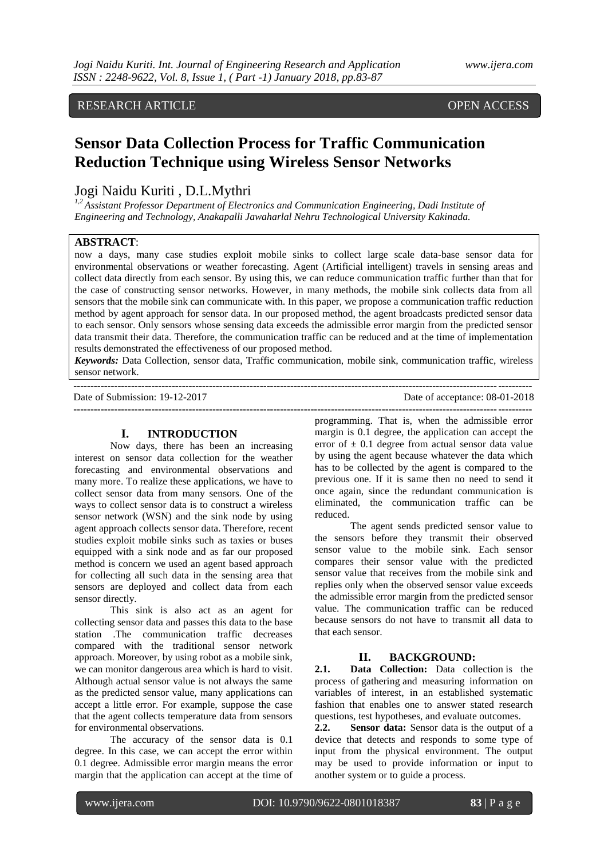# RESEARCH ARTICLE **CONSERVANCE OPEN ACCESS**

# **Sensor Data Collection Process for Traffic Communication Reduction Technique using Wireless Sensor Networks**

# Jogi Naidu Kuriti , D.L.Mythri

*1,2 Assistant Professor Department of Electronics and Communication Engineering, Dadi Institute of Engineering and Technology, Anakapalli Jawaharlal Nehru Technological University Kakinada.*

#### **ABSTRACT**:

now a days, many case studies exploit mobile sinks to collect large scale data-base sensor data for environmental observations or weather forecasting. Agent (Artificial intelligent) travels in sensing areas and collect data directly from each sensor. By using this, we can reduce communication traffic further than that for the case of constructing sensor networks. However, in many methods, the mobile sink collects data from all sensors that the mobile sink can communicate with. In this paper, we propose a communication traffic reduction method by agent approach for sensor data. In our proposed method, the agent broadcasts predicted sensor data to each sensor. Only sensors whose sensing data exceeds the admissible error margin from the predicted sensor data transmit their data. Therefore, the communication traffic can be reduced and at the time of implementation results demonstrated the effectiveness of our proposed method.

*Keywords:* Data Collection, sensor data, Traffic communication, mobile sink, communication traffic, wireless sensor network. **---------------------------------------------------------------------------------------------------------------------------------------**

Date of Submission: 19-12-2017 Date of acceptance: 08-01-2018 **---------------------------------------------------------------------------------------------------------------------------------------**

#### **I. INTRODUCTION**

Now days, there has been an increasing interest on sensor data collection for the weather forecasting and environmental observations and many more. To realize these applications, we have to collect sensor data from many sensors. One of the ways to collect sensor data is to construct a wireless sensor network (WSN) and the sink node by using agent approach collects sensor data. Therefore, recent studies exploit mobile sinks such as taxies or buses equipped with a sink node and as far our proposed method is concern we used an agent based approach for collecting all such data in the sensing area that sensors are deployed and collect data from each sensor directly.

This sink is also act as an agent for collecting sensor data and passes this data to the base station .The communication traffic decreases compared with the traditional sensor network approach. Moreover, by using robot as a mobile sink, we can monitor dangerous area which is hard to visit. Although actual sensor value is not always the same as the predicted sensor value, many applications can accept a little error. For example, suppose the case that the agent collects temperature data from sensors for environmental observations.

The accuracy of the sensor data is 0.1 degree. In this case, we can accept the error within 0.1 degree. Admissible error margin means the error margin that the application can accept at the time of programming. That is, when the admissible error margin is 0.1 degree, the application can accept the error of  $\pm$  0.1 degree from actual sensor data value by using the agent because whatever the data which has to be collected by the agent is compared to the previous one. If it is same then no need to send it once again, since the redundant communication is eliminated, the communication traffic can be reduced.

The agent sends predicted sensor value to the sensors before they transmit their observed sensor value to the mobile sink. Each sensor compares their sensor value with the predicted sensor value that receives from the mobile sink and replies only when the observed sensor value exceeds the admissible error margin from the predicted sensor value. The communication traffic can be reduced because sensors do not have to transmit all data to that each sensor.

### **II. BACKGROUND:**

**2.1. Data Collection:** Data collection is the process of gathering and measuring information on variables of interest, in an established systematic fashion that enables one to answer stated research questions, test hypotheses, and evaluate outcomes.

**2.2. Sensor data:** Sensor data is the output of a device that detects and responds to some type of input from the physical environment. The output may be used to provide information or input to another system or to guide a process.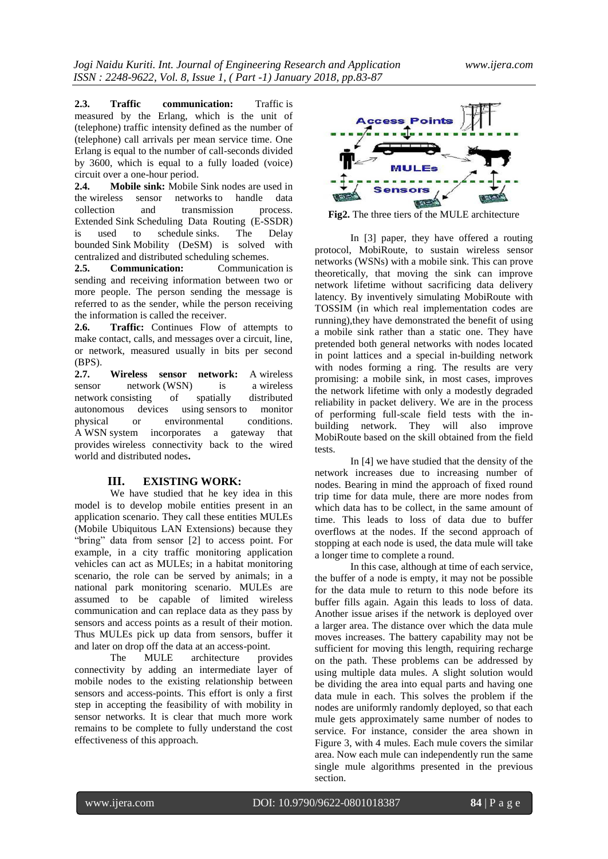**2.3. Traffic communication:** Traffic is measured by the Erlang, which is the unit of (telephone) traffic intensity defined as the number of (telephone) call arrivals per mean service time. One Erlang is equal to the number of call-seconds divided by 3600, which is equal to a fully loaded (voice) circuit over a one-hour period.

**2.4. Mobile sink:** Mobile Sink nodes are used in the wireless sensor networks to handle data<br>collection and transmission process. collection and transmission Extended Sink Scheduling Data Routing (E-SSDR) is used to schedule sinks. The Delay bounded Sink Mobility (DeSM) is solved with centralized and distributed scheduling schemes.

**2.5. Communication:** Communication is sending and receiving information between two or more people. The person sending the message is referred to as the sender, while the person receiving the information is called the receiver.

**2.6. Traffic:** Continues Flow of attempts to make contact, calls, and messages over a circuit, line, or network, measured usually in bits per second (BPS).

**2.7. Wireless sensor network:** A wireless sensor network (WSN) is a wireless network consisting of spatially distributed autonomous devices using sensors to monitor physical or environmental conditions. A WSN system incorporates a gateway that provides wireless connectivity back to the wired world and distributed nodes**.**

# **III. EXISTING WORK:**

We have studied that he key idea in this model is to develop mobile entities present in an application scenario. They call these entities MULEs (Mobile Ubiquitous LAN Extensions) because they "bring" data from sensor [2] to access point. For example, in a city traffic monitoring application vehicles can act as MULEs; in a habitat monitoring scenario, the role can be served by animals; in a national park monitoring scenario. MULEs are assumed to be capable of limited wireless communication and can replace data as they pass by sensors and access points as a result of their motion. Thus MULEs pick up data from sensors, buffer it and later on drop off the data at an access-point.

The MULE architecture provides connectivity by adding an intermediate layer of mobile nodes to the existing relationship between sensors and access-points. This effort is only a first step in accepting the feasibility of with mobility in sensor networks. It is clear that much more work remains to be complete to fully understand the cost effectiveness of this approach.



**Fig2.** The three tiers of the MULE architecture

In [3] paper, they have offered a routing protocol, MobiRoute, to sustain wireless sensor networks (WSNs) with a mobile sink. This can prove theoretically, that moving the sink can improve network lifetime without sacrificing data delivery latency. By inventively simulating MobiRoute with TOSSIM (in which real implementation codes are running),they have demonstrated the benefit of using a mobile sink rather than a static one. They have pretended both general networks with nodes located in point lattices and a special in-building network with nodes forming a ring. The results are very promising: a mobile sink, in most cases, improves the network lifetime with only a modestly degraded reliability in packet delivery. We are in the process of performing full-scale field tests with the inbuilding network. They will also improve MobiRoute based on the skill obtained from the field tests.

In [4] we have studied that the density of the network increases due to increasing number of nodes. Bearing in mind the approach of fixed round trip time for data mule, there are more nodes from which data has to be collect, in the same amount of time. This leads to loss of data due to buffer overflows at the nodes. If the second approach of stopping at each node is used, the data mule will take a longer time to complete a round.

In this case, although at time of each service, the buffer of a node is empty, it may not be possible for the data mule to return to this node before its buffer fills again. Again this leads to loss of data. Another issue arises if the network is deployed over a larger area. The distance over which the data mule moves increases. The battery capability may not be sufficient for moving this length, requiring recharge on the path. These problems can be addressed by using multiple data mules. A slight solution would be dividing the area into equal parts and having one data mule in each. This solves the problem if the nodes are uniformly randomly deployed, so that each mule gets approximately same number of nodes to service. For instance, consider the area shown in Figure 3, with 4 mules. Each mule covers the similar area. Now each mule can independently run the same single mule algorithms presented in the previous section.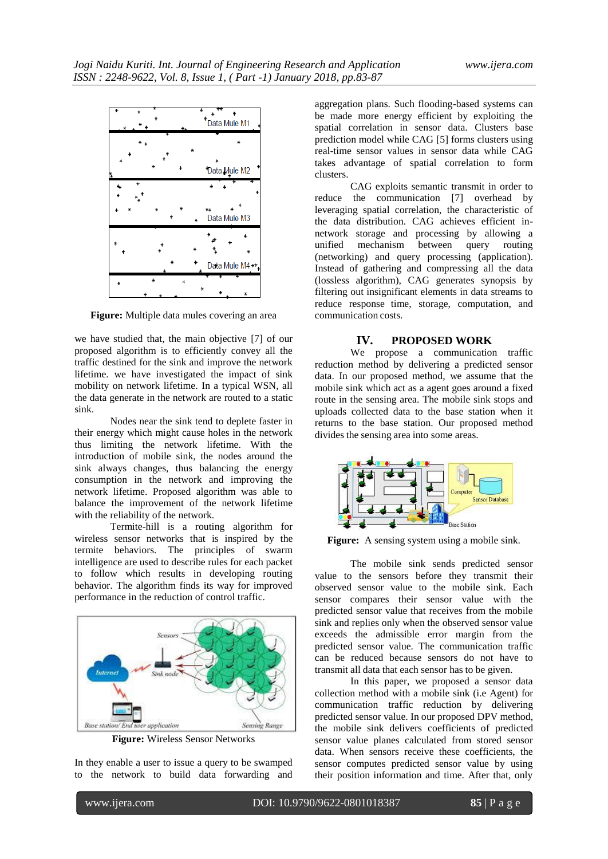

**Figure:** Multiple data mules covering an area

we have studied that, the main objective [7] of our proposed algorithm is to efficiently convey all the traffic destined for the sink and improve the network lifetime. we have investigated the impact of sink mobility on network lifetime. In a typical WSN, all the data generate in the network are routed to a static sink.

Nodes near the sink tend to deplete faster in their energy which might cause holes in the network thus limiting the network lifetime. With the introduction of mobile sink, the nodes around the sink always changes, thus balancing the energy consumption in the network and improving the network lifetime. Proposed algorithm was able to balance the improvement of the network lifetime with the reliability of the network.

Termite-hill is a routing algorithm for wireless sensor networks that is inspired by the termite behaviors. The principles of swarm intelligence are used to describe rules for each packet to follow which results in developing routing behavior. The algorithm finds its way for improved performance in the reduction of control traffic.



**Figure:** Wireless Sensor Networks

In they enable a user to issue a query to be swamped to the network to build data forwarding and aggregation plans. Such flooding-based systems can be made more energy efficient by exploiting the spatial correlation in sensor data. Clusters base prediction model while CAG [5] forms clusters using real-time sensor values in sensor data while CAG takes advantage of spatial correlation to form clusters.

CAG exploits semantic transmit in order to reduce the communication [7] overhead by leveraging spatial correlation, the characteristic of the data distribution. CAG achieves efficient innetwork storage and processing by allowing a unified mechanism between query routing (networking) and query processing (application). Instead of gathering and compressing all the data (lossless algorithm), CAG generates synopsis by filtering out insignificant elements in data streams to reduce response time, storage, computation, and communication costs.

#### **IV. PROPOSED WORK**

We propose a communication traffic reduction method by delivering a predicted sensor data. In our proposed method, we assume that the mobile sink which act as a agent goes around a fixed route in the sensing area. The mobile sink stops and uploads collected data to the base station when it returns to the base station. Our proposed method divides the sensing area into some areas.



Figure: A sensing system using a mobile sink.

The mobile sink sends predicted sensor value to the sensors before they transmit their observed sensor value to the mobile sink. Each sensor compares their sensor value with the predicted sensor value that receives from the mobile sink and replies only when the observed sensor value exceeds the admissible error margin from the predicted sensor value. The communication traffic can be reduced because sensors do not have to transmit all data that each sensor has to be given.

In this paper, we proposed a sensor data collection method with a mobile sink (i.e Agent) for communication traffic reduction by delivering predicted sensor value. In our proposed DPV method, the mobile sink delivers coefficients of predicted sensor value planes calculated from stored sensor data. When sensors receive these coefficients, the sensor computes predicted sensor value by using their position information and time. After that, only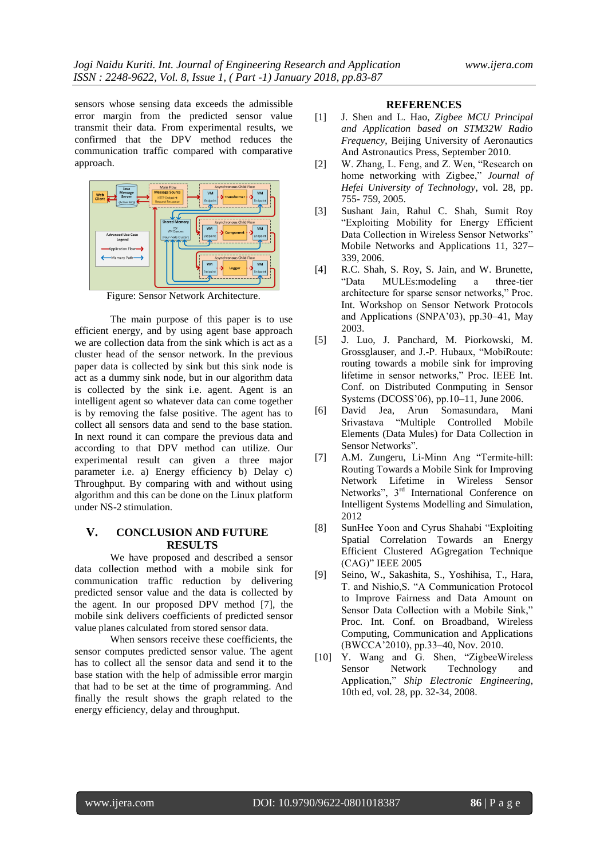sensors whose sensing data exceeds the admissible error margin from the predicted sensor value transmit their data. From experimental results, we confirmed that the DPV method reduces the communication traffic compared with comparative approach.



Figure: Sensor Network Architecture.

The main purpose of this paper is to use efficient energy, and by using agent base approach we are collection data from the sink which is act as a cluster head of the sensor network. In the previous paper data is collected by sink but this sink node is act as a dummy sink node, but in our algorithm data is collected by the sink i.e. agent. Agent is an intelligent agent so whatever data can come together is by removing the false positive. The agent has to collect all sensors data and send to the base station. In next round it can compare the previous data and according to that DPV method can utilize. Our experimental result can given a three major parameter i.e. a) Energy efficiency b) Delay c) Throughput. By comparing with and without using algorithm and this can be done on the Linux platform under NS-2 stimulation.

## **V. CONCLUSION AND FUTURE RESULTS**

We have proposed and described a sensor data collection method with a mobile sink for communication traffic reduction by delivering predicted sensor value and the data is collected by the agent. In our proposed DPV method [7], the mobile sink delivers coefficients of predicted sensor value planes calculated from stored sensor data.

When sensors receive these coefficients, the sensor computes predicted sensor value. The agent has to collect all the sensor data and send it to the base station with the help of admissible error margin that had to be set at the time of programming. And finally the result shows the graph related to the energy efficiency, delay and throughput.

#### **REFERENCES**

- [1] J. Shen and L. Hao, *Zigbee MCU Principal and Application based on STM32W Radio Frequency*, Beijing University of Aeronautics And Astronautics Press, September 2010.
- [2] W. Zhang, L. Feng, and Z. Wen, "Research on home networking with Zigbee," *Journal of Hefei University of Technology*, vol. 28, pp. 755- 759, 2005.
- [3] Sushant Jain, Rahul C. Shah, Sumit Roy "Exploiting Mobility for Energy Efficient Data Collection in Wireless Sensor Networks" Mobile Networks and Applications 11, 327– 339, 2006.
- [4] R.C. Shah, S. Roy, S. Jain, and W. Brunette, "Data MULEs:modeling a three-tier architecture for sparse sensor networks," Proc. Int. Workshop on Sensor Network Protocols and Applications (SNPA'03), pp.30–41, May 2003.
- [5] J. Luo, J. Panchard, M. Piorkowski, M. Grossglauser, and J.-P. Hubaux, "MobiRoute: routing towards a mobile sink for improving lifetime in sensor networks," Proc. IEEE Int. Conf. on Distributed Conmputing in Sensor Systems (DCOSS'06), pp.10–11, June 2006.
- [6] David Jea, Arun Somasundara, Mani Srivastava "Multiple Controlled Mobile Elements (Data Mules) for Data Collection in Sensor Networks".
- [7] A.M. Zungeru, Li-Minn Ang "Termite-hill: Routing Towards a Mobile Sink for Improving Network Lifetime in Wireless Sensor Networks",  $3<sup>rd</sup>$  International Conference on Intelligent Systems Modelling and Simulation, 2012
- [8] SunHee Yoon and Cyrus Shahabi "Exploiting Spatial Correlation Towards an Energy Efficient Clustered AGgregation Technique (CAG)" IEEE 2005
- [9] Seino, W., Sakashita, S., Yoshihisa, T., Hara, T. and Nishio,S. "A Communication Protocol to Improve Fairness and Data Amount on Sensor Data Collection with a Mobile Sink," Proc. Int. Conf. on Broadband, Wireless Computing, Communication and Applications (BWCCA'2010), pp.33–40, Nov. 2010.
- [10] Y. Wang and G. Shen, "ZigbeeWireless" Sensor Network Technology and Application," *Ship Electronic Engineering*, 10th ed, vol. 28, pp. 32-34, 2008.